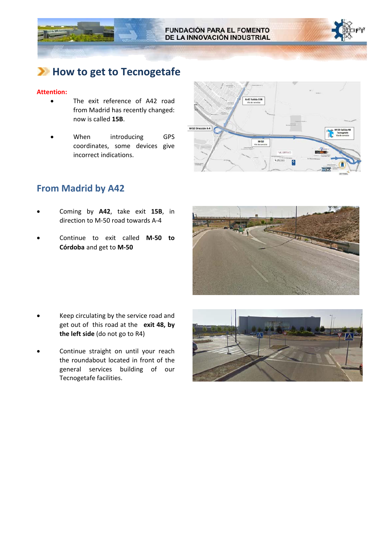

## **How to get to Tecnogetafe**

#### **Attention:**

- The exit reference of A42 road from Madrid has recently changed: now is called **15B**.
- When introducing GPS coordinates, some devices give incorrect indications.



### **From Madrid by A42**

- Coming by **A42**, take exit **15B**, in direction to M‐50 road towards A‐4
- Continue to exit called **M‐50 to Córdoba** and get to **M‐50**



- Keep circulating by the service road and get out of this road at the **exit 48, by the left side** (do not go to R4)
- Continue straight on until your reach the roundabout located in front of the general services building of our Tecnogetafe facilities.